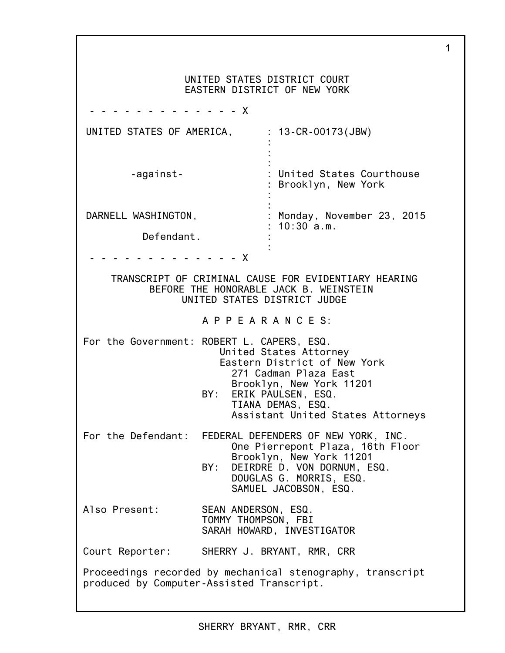|                                                                                                                                |                                            | UNITED STATES DISTRICT COURT<br>EASTERN DISTRICT OF NEW YORK                                                                                          |  |  |
|--------------------------------------------------------------------------------------------------------------------------------|--------------------------------------------|-------------------------------------------------------------------------------------------------------------------------------------------------------|--|--|
|                                                                                                                                |                                            |                                                                                                                                                       |  |  |
| UNITED STATES OF AMERICA,                                                                                                      |                                            | 13-CR-00173(JBW)                                                                                                                                      |  |  |
| -against-                                                                                                                      |                                            | United States Courthouse<br>Brooklyn, New York                                                                                                        |  |  |
| DARNELL WASHINGTON,                                                                                                            |                                            | : Monday, November 23, 2015                                                                                                                           |  |  |
| Defendant.                                                                                                                     |                                            | 10:30a.m.                                                                                                                                             |  |  |
| - - - - -                                                                                                                      | - - - - - X                                |                                                                                                                                                       |  |  |
| TRANSCRIPT OF CRIMINAL CAUSE FOR EVIDENTIARY HEARING<br>BEFORE THE HONORABLE JACK B. WEINSTEIN<br>UNITED STATES DISTRICT JUDGE |                                            |                                                                                                                                                       |  |  |
|                                                                                                                                | APPEARANCES:                               |                                                                                                                                                       |  |  |
| For the Government: ROBERT L. CAPERS, ESQ.                                                                                     | BY: ERIK PAULSEN, ESQ.                     | United States Attorney<br>Eastern District of New York<br>271 Cadman Plaza East<br>Brooklyn, New York 11201<br>TIANA DEMAS, ESQ.                      |  |  |
|                                                                                                                                |                                            | Assistant United States Attorneys                                                                                                                     |  |  |
|                                                                                                                                | BY:                                        | For the Defendant: FEDERAL DEFENDERS OF NEW YORK, INC.<br>One Pierrepont Plaza, 16th Floor<br>Brooklyn, New York 11201<br>DEIRDRE D. VON DORNUM, ESQ. |  |  |
|                                                                                                                                |                                            | DOUGLAS G. MORRIS, ESQ.<br>SAMUEL JACOBSON, ESQ.                                                                                                      |  |  |
| Also Present:                                                                                                                  | SEAN ANDERSON, ESQ.<br>TOMMY THOMPSON, FBI | SARAH HOWARD, INVESTIGATOR                                                                                                                            |  |  |
| Court Reporter: SHERRY J. BRYANT, RMR, CRR                                                                                     |                                            |                                                                                                                                                       |  |  |
| Proceedings recorded by mechanical stenography, transcript<br>produced by Computer-Assisted Transcript.                        |                                            |                                                                                                                                                       |  |  |

1